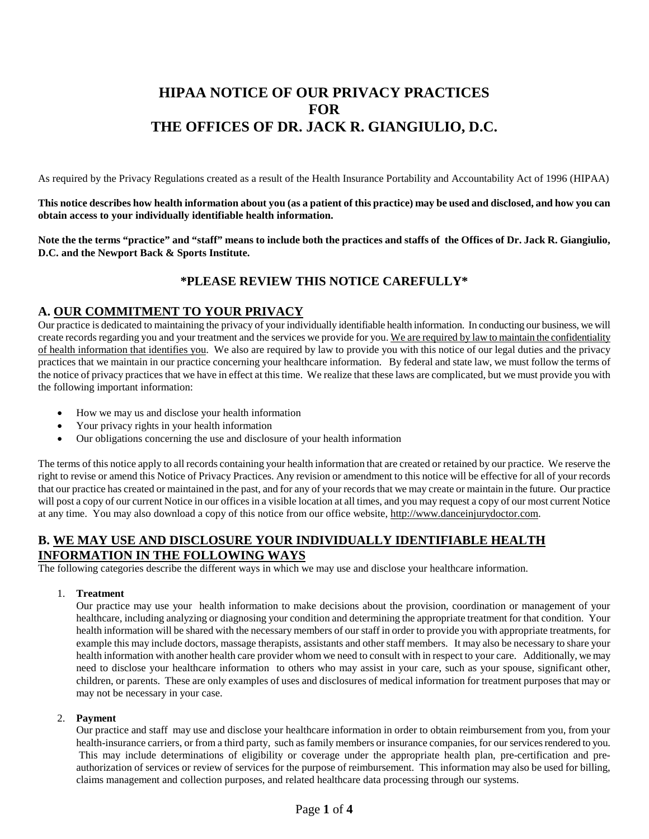# **HIPAA NOTICE OF OUR PRIVACY PRACTICES FOR THE OFFICES OF DR. JACK R. GIANGIULIO, D.C.**

As required by the Privacy Regulations created as a result of the Health Insurance Portability and Accountability Act of 1996 (HIPAA)

**This notice describes how health information about you (as a patient of this practice) may be used and disclosed, and how you can obtain access to your individually identifiable health information.** 

**Note the the terms "practice" and "staff" means to include both the practices and staffs of the Offices of Dr. Jack R. Giangiulio, D.C. and the Newport Back & Sports Institute.**

## **\*PLEASE REVIEW THIS NOTICE CAREFULLY\***

## **A. OUR COMMITMENT TO YOUR PRIVACY**

Our practice is dedicated to maintaining the privacy of your individually identifiable health information. In conducting our business, we will create records regarding you and your treatment and the services we provide for you. We are required by law to maintain the confidentiality of health information that identifies you. We also are required by law to provide you with this notice of our legal duties and the privacy practices that we maintain in our practice concerning your healthcare information. By federal and state law, we must follow the terms of the notice of privacy practices that we have in effect at this time. We realize that these laws are complicated, but we must provide you with the following important information:

- How we may us and disclose your health information
- Your privacy rights in your health information
- Our obligations concerning the use and disclosure of your health information

The terms of this notice apply to all records containing your health information that are created or retained by our practice. We reserve the right to revise or amend this Notice of Privacy Practices. Any revision or amendment to this notice will be effective for all of your records that our practice has created or maintained in the past, and for any of your records that we may create or maintain in the future. Our practice will post a copy of our current Notice in our offices in a visible location at all times, and you may request a copy of our most current Notice at any time. You may also download a copy of this notice from our office website[, http://www.danceinjurydoctor.com.](http://www.danceinjurydoctor.com/)

## **B. WE MAY USE AND DISCLOSURE YOUR INDIVIDUALLY IDENTIFIABLE HEALTH INFORMATION IN THE FOLLOWING WAYS**

The following categories describe the different ways in which we may use and disclose your healthcare information.

#### 1. **Treatment**

Our practice may use your health information to make decisions about the provision, coordination or management of your healthcare, including analyzing or diagnosing your condition and determining the appropriate treatment for that condition. Your health information will be shared with the necessary members of our staff in order to provide you with appropriate treatments, for example this may include doctors, massage therapists, assistants and other staff members. It may also be necessary to share your health information with another health care provider whom we need to consult with in respect to your care. Additionally, we may need to disclose your healthcare information to others who may assist in your care, such as your spouse, significant other, children, or parents. These are only examples of uses and disclosures of medical information for treatment purposes that may or may not be necessary in your case.

#### 2. **Payment**

Our practice and staff may use and disclose your healthcare information in order to obtain reimbursement from you, from your health-insurance carriers, or from a third party, such as family members or insurance companies, for our services rendered to you. This may include determinations of eligibility or coverage under the appropriate health plan, pre-certification and preauthorization of services or review of services for the purpose of reimbursement. This information may also be used for billing, claims management and collection purposes, and related healthcare data processing through our systems.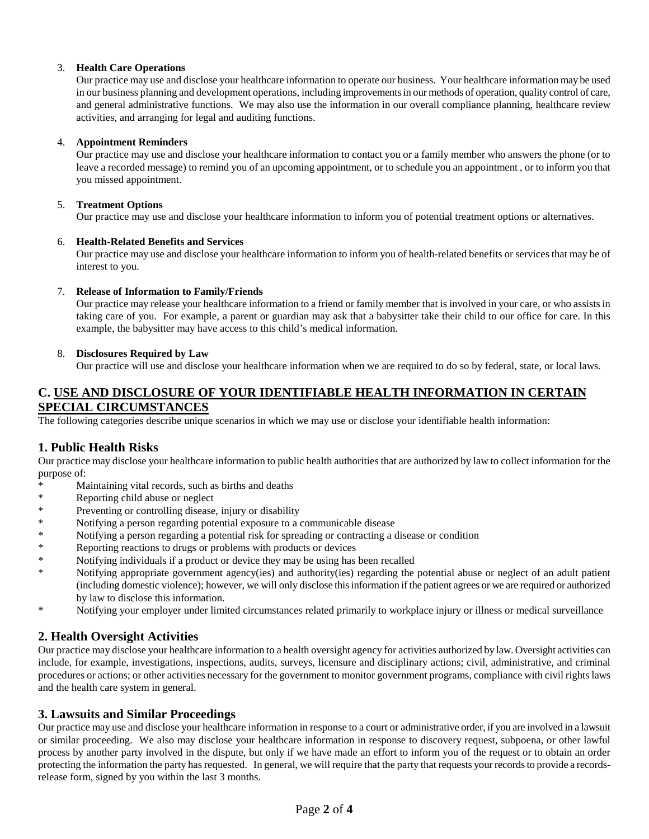#### 3. **Health Care Operations**

Our practice may use and disclose your healthcare information to operate our business. Your healthcare information may be used in our business planning and development operations, including improvementsin our methods of operation, quality control of care, and general administrative functions. We may also use the information in our overall compliance planning, healthcare review activities, and arranging for legal and auditing functions.

#### 4. **Appointment Reminders**

Our practice may use and disclose your healthcare information to contact you or a family member who answers the phone (or to leave a recorded message) to remind you of an upcoming appointment, or to schedule you an appointment , or to inform you that you missed appointment.

#### 5. **Treatment Options**

Our practice may use and disclose your healthcare information to inform you of potential treatment options or alternatives.

#### 6. **Health-Related Benefits and Services**

Our practice may use and disclose your healthcare information to inform you of health-related benefits or services that may be of interest to you.

#### 7. **Release of Information to Family/Friends**

Our practice may release your healthcare information to a friend or family member that is involved in your care, or who assists in taking care of you. For example, a parent or guardian may ask that a babysitter take their child to our office for care. In this example, the babysitter may have access to this child's medical information.

#### 8. **Disclosures Required by Law**

Our practice will use and disclose your healthcare information when we are required to do so by federal, state, or local laws.

## **C. USE AND DISCLOSURE OF YOUR IDENTIFIABLE HEALTH INFORMATION IN CERTAIN SPECIAL CIRCUMSTANCES**

The following categories describe unique scenarios in which we may use or disclose your identifiable health information:

## **1. Public Health Risks**

Our practice may disclose your healthcare information to public health authorities that are authorized by law to collect information for the purpose of:

- \* Maintaining vital records, such as births and deaths
- \* Reporting child abuse or neglect
- \* Preventing or controlling disease, injury or disability
- \* Notifying a person regarding potential exposure to a communicable disease
- \* Notifying a person regarding a potential risk for spreading or contracting a disease or condition<br>Penerting reactions to drugs or problems with products or dovices
- Reporting reactions to drugs or problems with products or devices
- \* Notifying individuals if a product or device they may be using has been recalled<br>Notifying appropriate covernment accouding) and outhority(ies) recarding the
- Notifying appropriate government agency(ies) and authority(ies) regarding the potential abuse or neglect of an adult patient (including domestic violence); however, we will only disclose this information if the patient agrees or we are required or authorized by law to disclose this information.
- \* Notifying your employer under limited circumstances related primarily to workplace injury or illness or medical surveillance

### **2. Health Oversight Activities**

Our practice may disclose your healthcare information to a health oversight agency for activities authorized by law. Oversight activities can include, for example, investigations, inspections, audits, surveys, licensure and disciplinary actions; civil, administrative, and criminal procedures or actions; or other activities necessary for the government to monitor government programs, compliance with civil rights laws and the health care system in general.

### **3. Lawsuits and Similar Proceedings**

Our practice may use and disclose your healthcare information in response to a court or administrative order, if you are involved in a lawsuit or similar proceeding. We also may disclose your healthcare information in response to discovery request, subpoena, or other lawful process by another party involved in the dispute, but only if we have made an effort to inform you of the request or to obtain an order protecting the information the party has requested. In general, we will require that the party that requests your records to provide a recordsrelease form, signed by you within the last 3 months.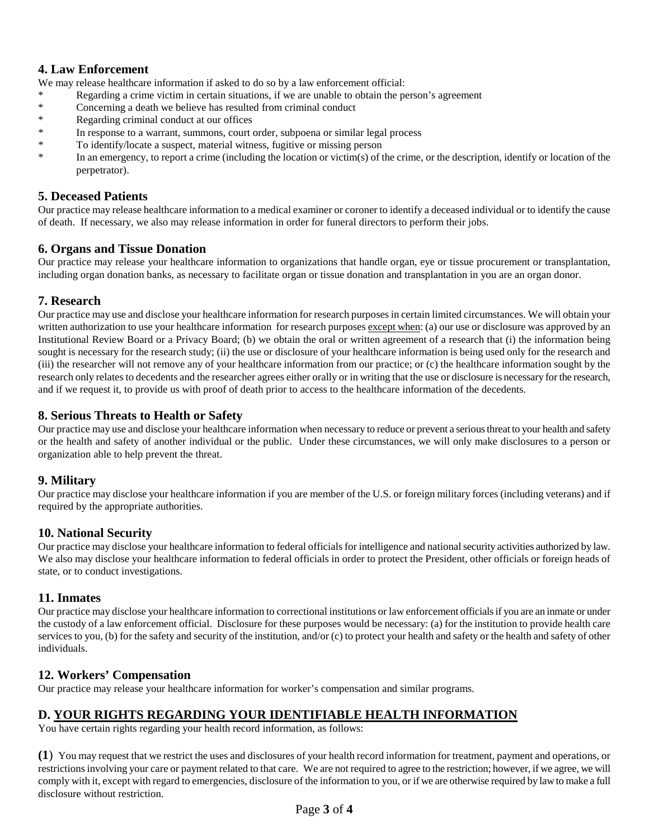## **4. Law Enforcement**

We may release healthcare information if asked to do so by a law enforcement official:

- \* Regarding a crime victim in certain situations, if we are unable to obtain the person's agreement
- \* Concerning a death we believe has resulted from criminal conduct
- \* Regarding criminal conduct at our offices
- \* In response to a warrant, summons, court order, subpoena or similar legal process
- \* To identify/locate a suspect, material witness, fugitive or missing person
- \* In an emergency, to report a crime (including the location or victim(s) of the crime, or the description, identify or location of the perpetrator).

### **5. Deceased Patients**

Our practice may release healthcare information to a medical examiner or coroner to identify a deceased individual or to identify the cause of death. If necessary, we also may release information in order for funeral directors to perform their jobs.

### **6. Organs and Tissue Donation**

Our practice may release your healthcare information to organizations that handle organ, eye or tissue procurement or transplantation, including organ donation banks, as necessary to facilitate organ or tissue donation and transplantation in you are an organ donor.

### **7. Research**

Our practice may use and disclose your healthcare information for research purposesin certain limited circumstances. We will obtain your written authorization to use your healthcare information for research purposes except when: (a) our use or disclosure was approved by an Institutional Review Board or a Privacy Board; (b) we obtain the oral or written agreement of a research that (i) the information being sought is necessary for the research study; (ii) the use or disclosure of your healthcare information is being used only for the research and (iii) the researcher will not remove any of your healthcare information from our practice; or (c) the healthcare information sought by the research only relates to decedents and the researcher agrees either orally or in writing that the use or disclosure is necessary for the research, and if we request it, to provide us with proof of death prior to access to the healthcare information of the decedents.

### **8. Serious Threats to Health or Safety**

Our practice may use and disclose your healthcare information when necessary to reduce or prevent a seriousthreat to your health and safety or the health and safety of another individual or the public. Under these circumstances, we will only make disclosures to a person or organization able to help prevent the threat.

### **9. Military**

Our practice may disclose your healthcare information if you are member of the U.S. or foreign military forces (including veterans) and if required by the appropriate authorities.

## **10. National Security**

Our practice may disclose your healthcare information to federal officials for intelligence and national security activities authorized by law. We also may disclose your healthcare information to federal officials in order to protect the President, other officials or foreign heads of state, or to conduct investigations.

### **11. Inmates**

Our practice may disclose your healthcare information to correctional institutions or law enforcement officials if you are an inmate or under the custody of a law enforcement official. Disclosure for these purposes would be necessary: (a) for the institution to provide health care services to you, (b) for the safety and security of the institution, and/or (c) to protect your health and safety or the health and safety of other individuals.

## **12. Workers' Compensation**

Our practice may release your healthcare information for worker's compensation and similar programs.

## **D. YOUR RIGHTS REGARDING YOUR IDENTIFIABLE HEALTH INFORMATION**

You have certain rights regarding your health record information, as follows:

**(1**) You may request that we restrict the uses and disclosures of your health record information for treatment, payment and operations, or restrictions involving your care or payment related to that care. We are not required to agree to the restriction; however, if we agree, we will comply with it, except with regard to emergencies, disclosure of the information to you, or if we are otherwise required by law to make a full disclosure without restriction.